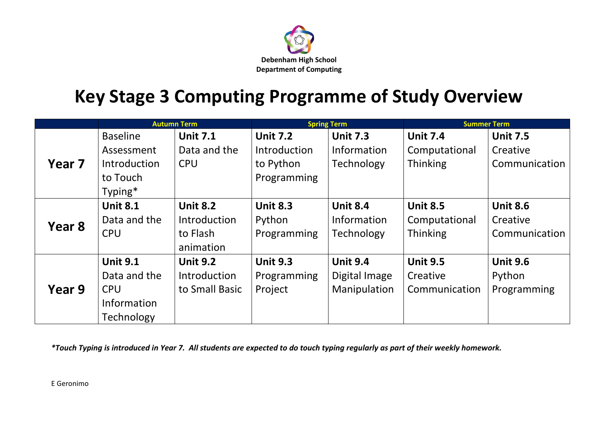

## **Key Stage 3 Computing Programme of Study Overview**

|        | <b>Autumn Term</b>  |                 | <b>Spring Term</b>  |                 | <b>Summer Term</b> |                 |
|--------|---------------------|-----------------|---------------------|-----------------|--------------------|-----------------|
|        | <b>Baseline</b>     | <b>Unit 7.1</b> | <b>Unit 7.2</b>     | <b>Unit 7.3</b> | <b>Unit 7.4</b>    | <b>Unit 7.5</b> |
| Year 7 | Assessment          | Data and the    | <b>Introduction</b> | Information     | Computational      | Creative        |
|        | <b>Introduction</b> | <b>CPU</b>      | to Python           | Technology      | Thinking           | Communication   |
|        | to Touch            |                 | Programming         |                 |                    |                 |
|        | Typing*             |                 |                     |                 |                    |                 |
|        | <b>Unit 8.1</b>     | <b>Unit 8.2</b> | <b>Unit 8.3</b>     | <b>Unit 8.4</b> | <b>Unit 8.5</b>    | <b>Unit 8.6</b> |
| Year 8 | Data and the        | Introduction    | Python              | Information     | Computational      | Creative        |
|        | <b>CPU</b>          | to Flash        | Programming         | Technology      | <b>Thinking</b>    | Communication   |
|        |                     | animation       |                     |                 |                    |                 |
|        | <b>Unit 9.1</b>     | <b>Unit 9.2</b> | <b>Unit 9.3</b>     | <b>Unit 9.4</b> | <b>Unit 9.5</b>    | <b>Unit 9.6</b> |
| Year 9 | Data and the        | Introduction    | Programming         | Digital Image   | Creative           | Python          |
|        | <b>CPU</b>          | to Small Basic  | Project             | Manipulation    | Communication      | Programming     |
|        | Information         |                 |                     |                 |                    |                 |
|        | Technology          |                 |                     |                 |                    |                 |

*\*Touch Typing is introduced in Year 7. All students are expected to do touch typing regularly as part of their weekly homework.*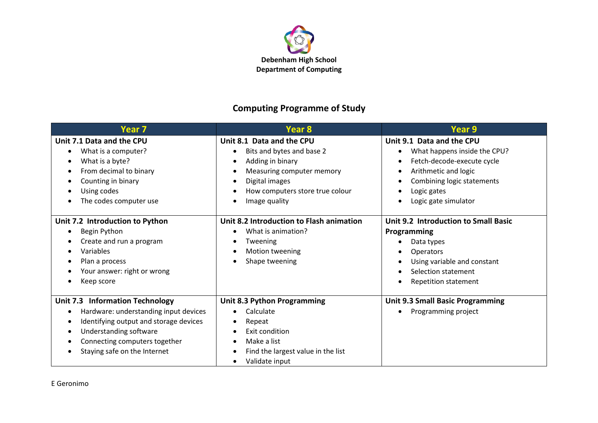

## **Computing Programme of Study**

| Year 7                                                                                                                                                                                                               | Year 8                                                                                                                                                                        | Year 9                                                                                                                                                                                                              |
|----------------------------------------------------------------------------------------------------------------------------------------------------------------------------------------------------------------------|-------------------------------------------------------------------------------------------------------------------------------------------------------------------------------|---------------------------------------------------------------------------------------------------------------------------------------------------------------------------------------------------------------------|
| Unit 7.1 Data and the CPU<br>What is a computer?<br>What is a byte?<br>From decimal to binary<br>Counting in binary<br>Using codes<br>The codes computer use                                                         | Unit 8.1 Data and the CPU<br>Bits and bytes and base 2<br>Adding in binary<br>Measuring computer memory<br>Digital images<br>How computers store true colour<br>Image quality | Unit 9.1 Data and the CPU<br>What happens inside the CPU?<br>٠<br>Fetch-decode-execute cycle<br>$\bullet$<br>Arithmetic and logic<br>$\bullet$<br>Combining logic statements<br>Logic gates<br>Logic gate simulator |
| Unit 7.2 Introduction to Python<br>Begin Python<br>Create and run a program<br>Variables<br>Plan a process<br>Your answer: right or wrong<br>Keep score                                                              | Unit 8.2 Introduction to Flash animation<br>What is animation?<br>Tweening<br>Motion tweening<br>Shape tweening                                                               | Unit 9.2 Introduction to Small Basic<br><b>Programming</b><br>Data types<br><b>Operators</b><br>Using variable and constant<br>$\bullet$<br>Selection statement<br><b>Repetition statement</b>                      |
| <b>Unit 7.3 Information Technology</b><br>Hardware: understanding input devices<br>Identifying output and storage devices<br>Understanding software<br>Connecting computers together<br>Staying safe on the Internet | Unit 8.3 Python Programming<br>Calculate<br>Repeat<br>Exit condition<br>Make a list<br>Find the largest value in the list<br>Validate input                                   | <b>Unit 9.3 Small Basic Programming</b><br>Programming project<br>$\bullet$                                                                                                                                         |

E Geronimo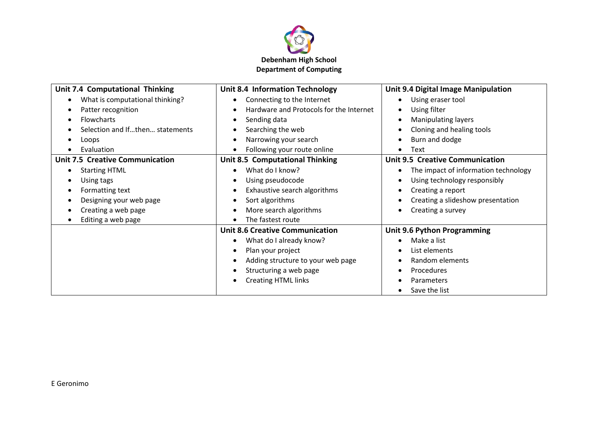

| Unit 7.4 Computational Thinking        | Unit 8.4 Information Technology                      | Unit 9.4 Digital Image Manipulation    |
|----------------------------------------|------------------------------------------------------|----------------------------------------|
| What is computational thinking?        | Connecting to the Internet<br>$\bullet$              | Using eraser tool<br>$\bullet$         |
| Patter recognition<br>$\epsilon$       | Hardware and Protocols for the Internet<br>$\bullet$ | Using filter<br>٠                      |
| <b>Flowcharts</b>                      | Sending data<br>$\bullet$                            | <b>Manipulating layers</b><br>٠        |
| Selection and Ifthen statements        | Searching the web<br>$\bullet$                       | Cloning and healing tools              |
| Loops                                  | Narrowing your search<br>$\bullet$                   | Burn and dodge                         |
| Evaluation                             | Following your route online                          | Text<br>٠                              |
| <b>Unit 7.5 Creative Communication</b> | Unit 8.5 Computational Thinking                      | <b>Unit 9.5 Creative Communication</b> |
| <b>Starting HTML</b>                   | What do I know?<br>$\bullet$                         | The impact of information technology   |
| Using tags                             | Using pseudocode<br>$\bullet$                        | Using technology responsibly           |
| Formatting text                        | Exhaustive search algorithms<br>$\bullet$            | Creating a report                      |
| Designing your web page                | Sort algorithms<br>$\bullet$                         | Creating a slideshow presentation      |
| Creating a web page                    | More search algorithms<br>$\bullet$                  | Creating a survey<br>٠                 |
| Editing a web page                     | The fastest route<br>$\bullet$                       |                                        |
|                                        | <b>Unit 8.6 Creative Communication</b>               | Unit 9.6 Python Programming            |
|                                        | What do I already know?<br>$\bullet$                 | Make a list                            |
|                                        | Plan your project<br>$\bullet$                       | List elements                          |
|                                        | Adding structure to your web page<br>$\bullet$       | Random elements                        |
|                                        | Structuring a web page<br>$\bullet$                  | Procedures                             |
|                                        | <b>Creating HTML links</b><br>$\bullet$              | Parameters                             |
|                                        |                                                      | Save the list                          |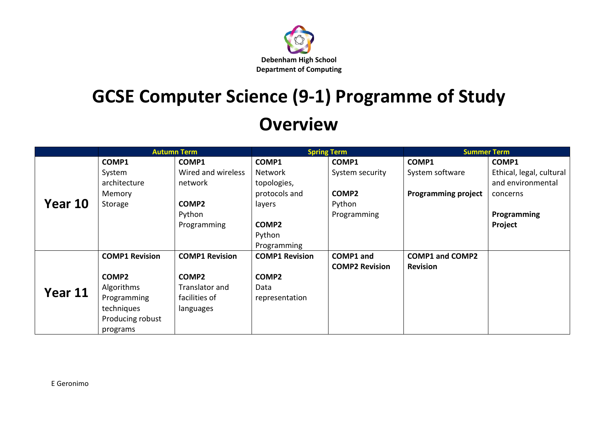

## **GCSE Computer Science (9-1) Programme of Study Overview**

|         | <b>Autumn Term</b>    |                       | <b>Spring Term</b>    |                       | <b>Summer Term</b>         |                          |
|---------|-----------------------|-----------------------|-----------------------|-----------------------|----------------------------|--------------------------|
|         | COMP1                 | COMP1                 | COMP1                 | COMP1                 | COMP1                      | COMP1                    |
| Year 10 | System                | Wired and wireless    | <b>Network</b>        | System security       | System software            | Ethical, legal, cultural |
|         | architecture          | network               | topologies,           |                       |                            | and environmental        |
|         | Memory                |                       | protocols and         | COMP2                 | <b>Programming project</b> | concerns                 |
|         | Storage               | COMP2                 | layers                | Python                |                            |                          |
|         |                       | Python                |                       | Programming           |                            | <b>Programming</b>       |
|         |                       | Programming           | COMP <sub>2</sub>     |                       |                            | Project                  |
|         |                       |                       | Python                |                       |                            |                          |
|         |                       |                       | Programming           |                       |                            |                          |
| Year 11 | <b>COMP1 Revision</b> | <b>COMP1 Revision</b> | <b>COMP1 Revision</b> | COMP1 and             | <b>COMP1 and COMP2</b>     |                          |
|         |                       |                       |                       | <b>COMP2 Revision</b> | <b>Revision</b>            |                          |
|         | COMP2                 | COMP <sub>2</sub>     | COMP2                 |                       |                            |                          |
|         | Algorithms            | Translator and        | Data                  |                       |                            |                          |
|         | Programming           | facilities of         | representation        |                       |                            |                          |
|         | techniques            | languages             |                       |                       |                            |                          |
|         | Producing robust      |                       |                       |                       |                            |                          |
|         | programs              |                       |                       |                       |                            |                          |